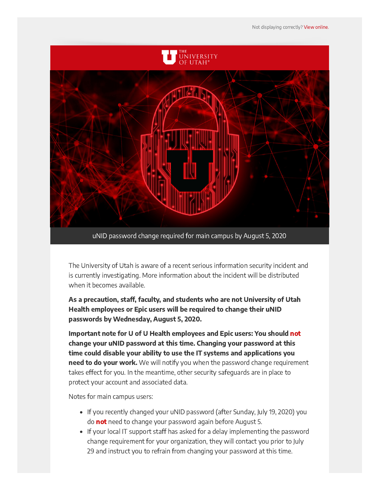

The University of Utah is aware of a recent serious information security incident and is currently investigating. More information about the incident will be distributed when it becomes available.

As a precaution, staff, faculty, and students who are not University of Utah Health employees or Epic users will be required to change their uNID passwords by Wednesday, August 5, 2020.

Important note for U of U Health employees and Epic users: You should not change your uNID password at this time. Changing your password at this time could disable your ability to use the IT systems and applications you **need to do your work.** We will notify you when the password change requirement takes effect for you. In the meantime, other security safeguards are in place to protect your account and associated data.

Notes for main campus users:

- If you recently changed your uNID password (after Sunday, July 19, 2020) you do not need to change your password again before August 5.
- If your local IT support staff has asked for a delay implementing the password change requirement for your organization, they will contact you prior to July 29 and instruct you to refrain from changing your password at this time.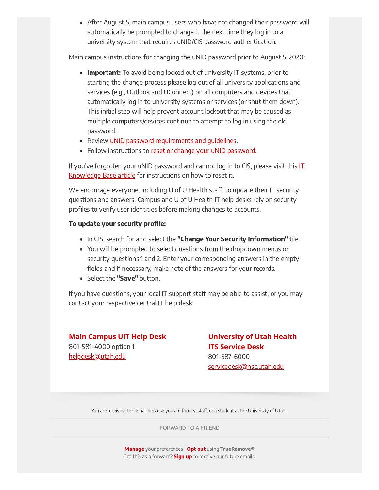After August 5, main campus users who have not changed their password will automatically be prompted to change it the next time they log in to a university system that requires uNID/CIS password authentication.

Main campus instructions for changing the uNID password prior to August 5, 2020:

- Important: To avoid being locked out of university IT systems, prior to starting the change process please log out of all university applications and services (e.g., Outlook and UConnect) on all computers and devices that automatically log in to university systems or services (or shut them down). This initial step will help prevent account lockout that may be caused as multiple computers/devices continue to attempt to log in using the old password.
- Review uNID password requirements and quidelines.
- Follow instructions to [reset or change your uNID password](https://uofu.service-now.com/it?id=uu_kb_article&sys_id=235b3b45d5d18900023cf36e22818313).

If you've forgotten your uNID password and cannot log in to CIS, please visit this  $II$ Knowledge Base article for instructions on how to reset it.

We encourage everyone, including U of U Health staff, to update their IT security questions and answers. Campus and U of U Health IT help desks rely on security profiles to verify user identities before making changes to accounts.

## To update your security profile:

- In CIS, search for and select the "Change Your Security Information" tile.
- You will be prompted to select questions from the dropdown menus on security questions 1 and 2. Enter your corresponding answers in the empty fields and if necessary, make note of the answers for your records.
- Select the "Save" button.

If you have questions, your local IT support staff may be able to assist, or you may contact your respective central IT help desk:

## **Main Campus UIT Help Desk**  801-581-4000 option 1 [helpdesk@utah.edu](mailto:helpdesk@utah.edu)

## **University of Utah Health ITS Service Desk**  801-587-6000

[servicedesk@hsc.utah.edu](mailto:servicedesk@hsc.utah.edu)

You are receiving this email because you are faculty, staff, or a student at the University of Utah.

[FORWARD TO A FRIEND](https://t.e2ma.net/share/outbound/e/pu2spw/9df76ob)

[Manage](https://app.e2ma.net/app2/audience/signup/1866963/1810463/1356326943/3078602783/?s=gYSj3x2HNtVx7Pf2Jdgd6hzPlPsFCqMaHwaN6tXLGxw) your preferences | [Opt out](https://t.e2ma.net/optout/pu2spw/9df76ob?s=rVJi59F7EJCXQf8uCoDXT0MnEcCZYIXi9rbnQdEjkHY&r=aHR0cHM6Ly9hcHAuZTJtYS5uZXQvYXBwMi9hdWRpZW5jZS9vcHRfb3V0LzE4NjY5NjMvMTgxMDQ2My8zMDc4NjAyNzgzLz9zPUZuX3dqNkkzeUtRUHFEaXNyOWVySjYtb1Bfb25ZZ1IyX1g2U1VjQXkwSmM%3D) using TrueRemove® Got this as a forward? **Sign up** to receive our future emails.